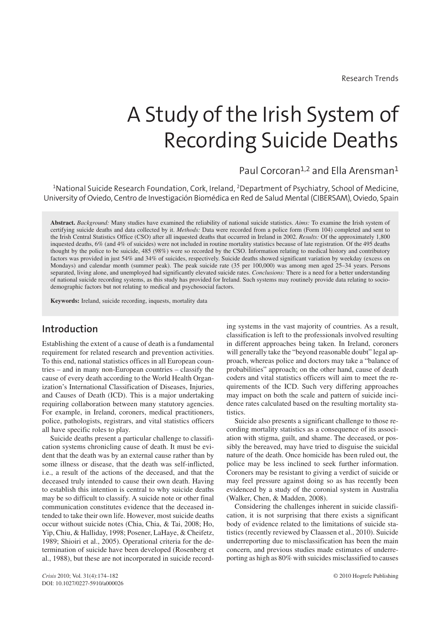Research Trends

# A Study of the Irish System of Recording Suicide Deaths

# Paul Corcoran<sup>1,2</sup> and Ella Arensman<sup>1</sup>

 $^{\rm 1}$ National Suicide Research Foundation, Cork, Ireland,  $^{\rm 2}$ Department of Psychiatry, School of Medicine, University of Oviedo, Centro de Investigación Biomédica en Red de Salud Mental (CIBERSAM), Oviedo, Spain

**Abstract.** *Background:* Many studies have examined the reliability of national suicide statistics. *Aims:* To examine the Irish system of certifying suicide deaths and data collected by it. *Methods:* Data were recorded from a police form (Form 104) completed and sent to the Irish Central Statistics Office (CSO) after all inquested deaths that occurred in Ireland in 2002. *Results:* Of the approximately 1,800 inquested deaths, 6% (and 4% of suicides) were not included in routine mortality statistics because of late registration. Of the 495 deaths thought by the police to be suicide, 485 (98%) were so recorded by the CSO. Information relating to medical history and contributory factors was provided in just 54% and 34% of suicides, respectively. Suicide deaths showed significant variation by weekday (excess on Mondays) and calendar month (summer peak). The peak suicide rate (35 per 100,000) was among men aged 25–34 years. Persons separated, living alone, and unemployed had significantly elevated suicide rates. *Conclusions:* There is a need for a better understanding of national suicide recording systems, as this study has provided for Ireland. Such systems may routinely provide data relating to sociodemographic factors but not relating to medical and psychosocial factors.

**Keywords:** Ireland, suicide recording, inquests, mortality data

# **Introduction**

Establishing the extent of a cause of death is a fundamental requirement for related research and prevention activities. To this end, national statistics offices in all European countries – and in many non-European countries – classify the cause of every death according to the World Health Organization's International Classification of Diseases, Injuries, and Causes of Death (ICD). This is a major undertaking requiring collaboration between many statutory agencies. For example, in Ireland, coroners, medical practitioners, police, pathologists, registrars, and vital statistics officers all have specific roles to play.

Suicide deaths present a particular challenge to classification systems chronicling cause of death. It must be evident that the death was by an external cause rather than by some illness or disease, that the death was self-inflicted, i.e., a result of the actions of the deceased, and that the deceased truly intended to cause their own death. Having to establish this intention is central to why suicide deaths may be so difficult to classify. A suicide note or other final communication constitutes evidence that the deceased intended to take their own life. However, most suicide deaths occur without suicide notes (Chia, Chia, & Tai, 2008; Ho, Yip, Chiu, & Halliday, 1998; Posener, LaHaye, & Cheifetz, 1989; Shioiri et al., 2005). Operational criteria for the determination of suicide have been developed (Rosenberg et al., 1988), but these are not incorporated in suicide recording systems in the vast majority of countries. As a result, classification is left to the professionals involved resulting in different approaches being taken. In Ireland, coroners will generally take the "beyond reasonable doubt" legal approach, whereas police and doctors may take a "balance of probabilities" approach; on the other hand, cause of death coders and vital statistics officers will aim to meet the requirements of the ICD. Such very differing approaches may impact on both the scale and pattern of suicide incidence rates calculated based on the resulting mortality statistics.

Suicide also presents a significant challenge to those recording mortality statistics as a consequence of its association with stigma, guilt, and shame. The deceased, or possibly the bereaved, may have tried to disguise the suicidal nature of the death. Once homicide has been ruled out, the police may be less inclined to seek further information. Coroners may be resistant to giving a verdict of suicide or may feel pressure against doing so as has recently been evidenced by a study of the coronial system in Australia (Walker, Chen, & Madden, 2008).

Considering the challenges inherent in suicide classification, it is not surprising that there exists a significant body of evidence related to the limitations of suicide statistics (recently reviewed by Claassen et al., 2010). Suicide underreporting due to misclassification has been the main concern, and previous studies made estimates of underreporting as high as 80% with suicides misclassified to causes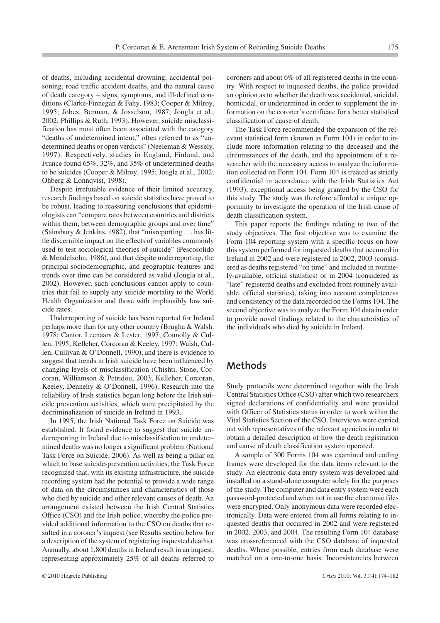of deaths, including accidental drowning, accidental poisoning, road traffic accident deaths, and the natural cause of death category – signs, symptoms, and ill-defined conditions (Clarke-Finnegan & Fahy, 1983; Cooper & Milroy, 1995; Jobes, Berman, & Josselson, 1987; Jougla et al., 2002; Phillips & Ruth, 1993). However, suicide misclassification has most often been associated with the category "deaths of undetermined intent," often referred to as "undetermined deaths or open verdicts" (Neeleman & Wessely, 1997). Respectively, studies in England, Finland, and France found 65%, 32%, and 35% of undetermined deaths to be suicides (Cooper & Milroy, 1995; Jougla et al., 2002; Ohberg & Lonnqvist, 1998).

Despite irrefutable evidence of their limited accuracy, research findings based on suicide statistics have proved to be robust, leading to reassuring conclusions that epidemiologists can "compare rates between countries and districts within them, between demographic groups and over time" (Sainsbury & Jenkins, 1982), that "misreporting . . . has little discernible impact on the effects of variables commonly used to test sociological theories of suicide" (Pescosolido & Mendelsohn, 1986), and that despite underreporting, the principal sociodemographic, and geographic features and trends over time can be considered as valid (Jougla et al., 2002). However, such conclusions cannot apply to countries that fail to supply any suicide mortality to the World Health Organization and those with implausibly low suicide rates.

Underreporting of suicide has been reported for Ireland perhaps more than for any other country (Brugha & Walsh, 1978; Cantor, Leenaars & Lester, 1997; Connolly & Cullen, 1995; Kelleher, Corcoran & Keeley, 1997; Walsh, Cullen, Cullivan & O'Donnell, 1990), and there is evidence to suggest that trends in Irish suicide have been influenced by changing levels of misclassification (Chishti, Stone, Corcoran, Williamson & Petridou, 2003; Kelleher, Corcoran, Keeley, Dennehy & O'Donnell, 1996). Research into the reliability of Irish statistics began long before the Irish suicide prevention activities, which were precipitated by the decriminalization of suicide in Ireland in 1993.

In 1995, the Irish National Task Force on Suicide was established. It found evidence to suggest that suicide underreporting in Ireland due to misclassification to undetermined deaths was no longer a significant problem (National Task Force on Suicide, 2006). As well as being a pillar on which to base suicide-prevention activities, the Task Force recognized that, with its existing infrastructure, the suicide recording system had the potential to provide a wide range of data on the circumstances and characteristics of those who died by suicide and other relevant causes of death. An arrangement existed between the Irish Central Statistics Office (CSO) and the Irish police, whereby the police provided additional information to the CSO on deaths that resulted in a coroner's inquest (see Results section below for a description of the system of registering inquested deaths). Annually, about 1,800 deaths in Ireland result in an inquest, representing approximately 25% of all deaths referred to

© 2010 Hogrefe Publishing *Crisis* 2010; Vol. 31(4):174–182

coroners and about 6% of all registered deaths in the country. With respect to inquested deaths, the police provided an opinion as to whether the death was accidental, suicidal, homicidal, or undetermined in order to supplement the information on the coroner's certificate for a better statistical classification of cause of death.

The Task Force recommended the expansion of the relevant statistical form (known as Form 104) in order to include more information relating to the deceased and the circumstances of the death, and the appointment of a researcher with the necessary access to analyze the information collected on Form 104. Form 104 is treated as strictly confidential in accordance with the Irish Statistics Act (1993), exceptional access being granted by the CSO for this study. The study was therefore afforded a unique opportunity to investigate the operation of the Irish cause of death classification system.

This paper reports the findings relating to two of the study objectives. The first objective was to examine the Form 104 reporting system with a specific focus on how this system performed for inquested deaths that occurred in Ireland in 2002 and were registered in 2002, 2003 (considered as deaths registered "on time" and included in routinely-available, official statistics) or in 2004 (considered as "late" registered deaths and excluded from routinely available, official statistics), taking into account completeness and consistency of the data recorded on the Forms 104. The second objective was to analyze the Form 104 data in order to provide novel findings related to the characteristics of the individuals who died by suicide in Ireland.

## **Methods**

Study protocols were determined together with the Irish Central Statistics Office (CSO) after which two researchers signed declarations of confidentiality and were provided with Officer of Statistics status in order to work within the Vital Statistics Section of the CSO. Interviews were carried out with representatives of the relevant agencies in order to obtain a detailed description of how the death registration and cause of death classification system operated.

A sample of 300 Forms 104 was examined and coding frames were developed for the data items relevant to the study. An electronic data entry system was developed and installed on a stand-alone computer solely for the purposes of the study. The computer and data entry system were each password-protected and when not in use the electronic files were encrypted. Only anonymous data were recorded electronically. Data were entered from all forms relating to inquested deaths that occurred in 2002 and were registered in 2002, 2003, and 2004. The resulting Form 104 database was crossreferenced with the CSO database of inquested deaths. Where possible, entries from each database were matched on a one-to-one basis. Inconsistencies between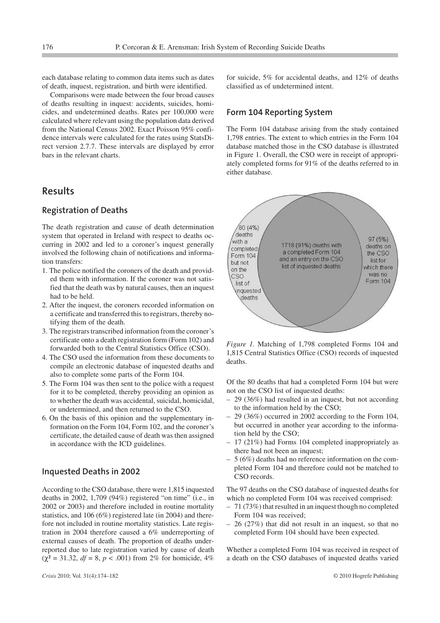each database relating to common data items such as dates of death, inquest, registration, and birth were identified.

Comparisons were made between the four broad causes of deaths resulting in inquest: accidents, suicides, homicides, and undetermined deaths. Rates per 100,000 were calculated where relevant using the population data derived from the National Census 2002. Exact Poisson 95% confidence intervals were calculated for the rates using StatsDirect version 2.7.7. These intervals are displayed by error bars in the relevant charts.

# **Results**

## **Registration of Deaths**

The death registration and cause of death determination system that operated in Ireland with respect to deaths occurring in 2002 and led to a coroner's inquest generally involved the following chain of notifications and information transfers:

- 1. The police notified the coroners of the death and provided them with information. If the coroner was not satisfied that the death was by natural causes, then an inquest had to be held.
- 2. After the inquest, the coroners recorded information on a certificate and transferred this to registrars, thereby notifying them of the death.
- 3. The registrars transcribed information from the coroner's certificate onto a death registration form (Form 102) and forwarded both to the Central Statistics Office (CSO).
- 4. The CSO used the information from these documents to compile an electronic database of inquested deaths and also to complete some parts of the Form 104.
- 5. The Form 104 was then sent to the police with a request for it to be completed, thereby providing an opinion as to whether the death was accidental, suicidal, homicidal, or undetermined, and then returned to the CSO.
- 6. On the basis of this opinion and the supplementary information on the Form 104, Form 102, and the coroner's certificate, the detailed cause of death was then assigned in accordance with the ICD guidelines.

#### **Inquested Deaths in 2002**

According to the CSO database, there were 1,815 inquested deaths in 2002, 1,709 (94%) registered "on time" (i.e., in 2002 or 2003) and therefore included in routine mortality statistics, and 106 (6%) registered late (in 2004) and therefore not included in routine mortality statistics. Late registration in 2004 therefore caused a 6% underreporting of external causes of death. The proportion of deaths underreported due to late registration varied by cause of death  $(\chi^2 = 31.32, df = 8, p < .001)$  from 2% for homicide, 4%

for suicide, 5% for accidental deaths, and 12% of deaths classified as of undetermined intent.

## **Form 104 Reporting System**

The Form 104 database arising from the study contained 1,798 entries. The extent to which entries in the Form 104 database matched those in the CSO database is illustrated in Figure 1. Overall, the CSO were in receipt of appropriately completed forms for 91% of the deaths referred to in either database.



*Figure 1.* Matching of 1,798 completed Forms 104 and 1,815 Central Statistics Office (CSO) records of inquested deaths.

Of the 80 deaths that had a completed Form 104 but were not on the CSO list of inquested deaths:

- 29 (36%) had resulted in an inquest, but not according to the information held by the CSO;
- 29 (36%) occurred in 2002 according to the Form 104, but occurred in another year according to the information held by the CSO;
- 17 (21%) had Forms 104 completed inappropriately as there had not been an inquest;
- 5 (6%) deaths had no reference information on the completed Form 104 and therefore could not be matched to CSO records.

The 97 deaths on the CSO database of inquested deaths for which no completed Form 104 was received comprised:

- 71 (73%) that resulted in an inquest though no completed Form 104 was received;
- 26 (27%) that did not result in an inquest, so that no completed Form 104 should have been expected.

Whether a completed Form 104 was received in respect of a death on the CSO databases of inquested deaths varied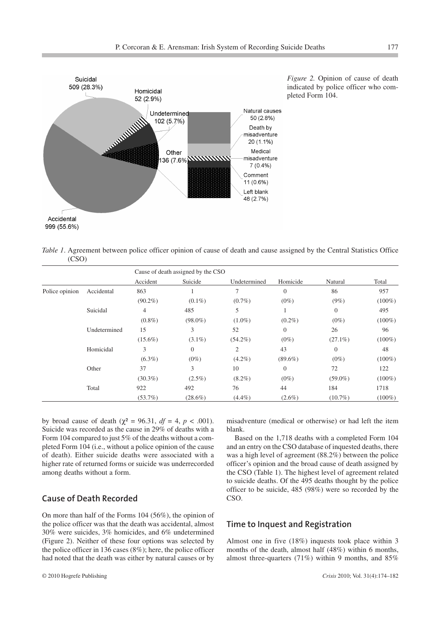

*Figure 2.* Opinion of cause of death indicated by police officer who completed Form 104.

*Table 1*. Agreement between police officer opinion of cause of death and cause assigned by the Central Statistics Office (CSO)

|                |              | Cause of death assigned by the CSO |            |                |                |            |           |
|----------------|--------------|------------------------------------|------------|----------------|----------------|------------|-----------|
|                |              | Accident                           | Suicide    | Undetermined   | Homicide       | Natural    | Total     |
| Police opinion | Accidental   | 863                                |            |                | $\overline{0}$ | 86         | 957       |
|                |              | $(90.2\%)$                         | $(0.1\%)$  | $(0.7\%)$      | $(0\%)$        | $(9\%)$    | $(100\%)$ |
|                | Suicidal     | 4                                  | 485        | 5              |                | $\theta$   | 495       |
|                |              | $(0.8\%)$                          | $(98.0\%)$ | $(1.0\%)$      | $(0.2\%)$      | $(0\%)$    | $(100\%)$ |
|                | Undetermined | 15                                 | 3          | 52             | $\Omega$       | 26         | 96        |
|                |              | $(15.6\%)$                         | $(3.1\%)$  | $(54.2\%)$     | $(0\%)$        | $(27.1\%)$ | $(100\%)$ |
|                | Homicidal    | 3                                  | $\theta$   | $\overline{2}$ | 43             | $\theta$   | 48        |
|                |              | $(6.3\%)$                          | $(0\%)$    | $(4.2\%)$      | $(89.6\%)$     | $(0\%)$    | $(100\%)$ |
|                | Other        | 37                                 | 3          | 10             | $\Omega$       | 72         | 122       |
|                |              | $(30.3\%)$                         | $(2.5\%)$  | $(8.2\%)$      | $(0\%)$        | $(59.0\%)$ | $(100\%)$ |
|                | Total        | 922                                | 492        | 76             | 44             | 184        | 1718      |
|                |              | $(53.7\%)$                         | $(28.6\%)$ | $(4.4\%)$      | $(2.6\%)$      | $(10.7\%)$ | $(100\%)$ |

by broad cause of death ( $χ² = 96.31$ ,  $df = 4$ ,  $p < .001$ ). Suicide was recorded as the cause in 29% of deaths with a Form 104 compared to just 5% of the deaths without a completed Form 104 (i.e., without a police opinion of the cause of death). Either suicide deaths were associated with a higher rate of returned forms or suicide was underrecorded among deaths without a form.

### **Cause of Death Recorded**

On more than half of the Forms 104 (56%), the opinion of the police officer was that the death was accidental, almost 30% were suicides, 3% homicides, and 6% undetermined (Figure 2). Neither of these four options was selected by the police officer in 136 cases (8%); here, the police officer had noted that the death was either by natural causes or by

misadventure (medical or otherwise) or had left the item blank.

Based on the 1,718 deaths with a completed Form 104 and an entry on the CSO database of inquested deaths, there was a high level of agreement (88.2%) between the police officer's opinion and the broad cause of death assigned by the CSO (Table 1). The highest level of agreement related to suicide deaths. Of the 495 deaths thought by the police officer to be suicide, 485 (98%) were so recorded by the CSO.

## **Time to Inquest and Registration**

Almost one in five (18%) inquests took place within 3 months of the death, almost half (48%) within 6 months, almost three-quarters (71%) within 9 months, and 85%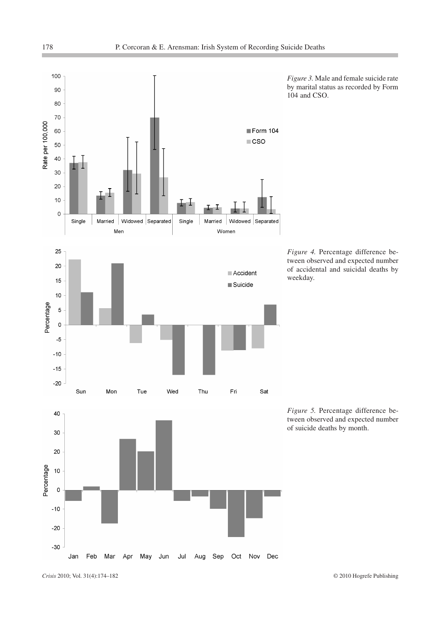

*Crisis* 2010; Vol. 31(4):174–182 © 2010 Hogrefe Publishing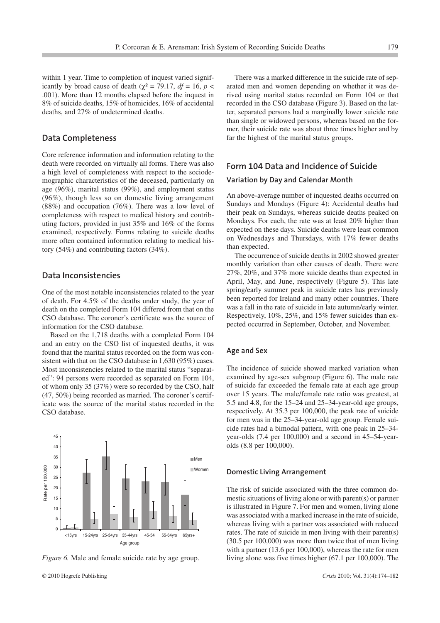within 1 year. Time to completion of inquest varied significantly by broad cause of death ( $\chi^2$  = 79.17, *df* = 16, *p* < .001). More than 12 months elapsed before the inquest in 8% of suicide deaths, 15% of homicides, 16% of accidental deaths, and 27% of undetermined deaths.

## **Data Completeness**

Core reference information and information relating to the death were recorded on virtually all forms. There was also a high level of completeness with respect to the sociodemographic characteristics of the deceased, particularly on age (96%), marital status (99%), and employment status (96%), though less so on domestic living arrangement (88%) and occupation (76%). There was a low level of completeness with respect to medical history and contributing factors, provided in just 35% and 16% of the forms examined, respectively. Forms relating to suicide deaths more often contained information relating to medical history (54%) and contributing factors (34%).

### **Data Inconsistencies**

One of the most notable inconsistencies related to the year of death. For 4.5% of the deaths under study, the year of death on the completed Form 104 differed from that on the CSO database. The coroner's certificate was the source of information for the CSO database.

Based on the 1,718 deaths with a completed Form 104 and an entry on the CSO list of inquested deaths, it was found that the marital status recorded on the form was consistent with that on the CSO database in 1,630 (95%) cases. Most inconsistencies related to the marital status "separated": 94 persons were recorded as separated on Form 104, of whom only 35 (37%) were so recorded by the CSO, half (47, 50%) being recorded as married. The coroner's certificate was the source of the marital status recorded in the CSO database.



*Figure 6.* Male and female suicide rate by age group.

There was a marked difference in the suicide rate of separated men and women depending on whether it was derived using marital status recorded on Form 104 or that recorded in the CSO database (Figure 3). Based on the latter, separated persons had a marginally lower suicide rate than single or widowed persons, whereas based on the former, their suicide rate was about three times higher and by far the highest of the marital status groups.

## **Form 104 Data and Incidence of Suicide**

#### **Variation by Day and Calendar Month**

An above-average number of inquested deaths occurred on Sundays and Mondays (Figure 4): Accidental deaths had their peak on Sundays, whereas suicide deaths peaked on Mondays. For each, the rate was at least 20% higher than expected on these days. Suicide deaths were least common on Wednesdays and Thursdays, with 17% fewer deaths than expected.

The occurrence of suicide deaths in 2002 showed greater monthly variation than other causes of death. There were 27%, 20%, and 37% more suicide deaths than expected in April, May, and June, respectively (Figure 5). This late spring/early summer peak in suicide rates has previously been reported for Ireland and many other countries. There was a fall in the rate of suicide in late autumn/early winter. Respectively, 10%, 25%, and 15% fewer suicides than expected occurred in September, October, and November.

#### **Age and Sex**

The incidence of suicide showed marked variation when examined by age-sex subgroup (Figure 6). The male rate of suicide far exceeded the female rate at each age group over 15 years. The male/female rate ratio was greatest, at 5.5 and 4.8, for the 15–24 and 25–34-year-old age groups, respectively. At 35.3 per 100,000, the peak rate of suicide for men was in the 25–34-year-old age group. Female suicide rates had a bimodal pattern, with one peak in 25–34 year-olds (7.4 per 100,000) and a second in 45–54-yearolds (8.8 per 100,000).

#### **Domestic Living Arrangement**

The risk of suicide associated with the three common domestic situations of living alone or with parent(s) or partner is illustrated in Figure 7. For men and women, living alone was associated with a marked increase in the rate of suicide, whereas living with a partner was associated with reduced rates. The rate of suicide in men living with their parent(s) (30.5 per 100,000) was more than twice that of men living with a partner (13.6 per 100,000), whereas the rate for men living alone was five times higher (67.1 per 100,000). The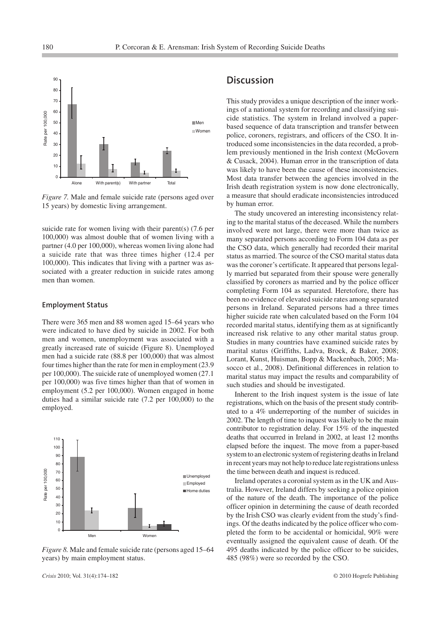

*Figure 7.* Male and female suicide rate (persons aged over 15 years) by domestic living arrangement.

suicide rate for women living with their parent(s) (7.6 per 100,000) was almost double that of women living with a partner (4.0 per 100,000), whereas women living alone had a suicide rate that was three times higher (12.4 per 100,000). This indicates that living with a partner was associated with a greater reduction in suicide rates among men than women.

#### **Employment Status**

There were 365 men and 88 women aged 15–64 years who were indicated to have died by suicide in 2002. For both men and women, unemployment was associated with a greatly increased rate of suicide (Figure 8). Unemployed men had a suicide rate (88.8 per 100,000) that was almost four times higher than the rate for men in employment (23.9 per 100,000). The suicide rate of unemployed women (27.1 per 100,000) was five times higher than that of women in employment (5.2 per 100,000). Women engaged in home duties had a similar suicide rate (7.2 per 100,000) to the employed.



*Figure 8.* Male and female suicide rate (persons aged 15–64 years) by main employment status.

## **Discussion**

This study provides a unique description of the inner workings of a national system for recording and classifying suicide statistics. The system in Ireland involved a paperbased sequence of data transcription and transfer between police, coroners, registrars, and officers of the CSO. It introduced some inconsistencies in the data recorded, a problem previously mentioned in the Irish context (McGovern & Cusack, 2004). Human error in the transcription of data was likely to have been the cause of these inconsistencies. Most data transfer between the agencies involved in the Irish death registration system is now done electronically, a measure that should eradicate inconsistencies introduced by human error.

The study uncovered an interesting inconsistency relating to the marital status of the deceased. While the numbers involved were not large, there were more than twice as many separated persons according to Form 104 data as per the CSO data, which generally had recorded their marital status as married. The source of the CSO marital status data was the coroner's certificate. It appeared that persons legally married but separated from their spouse were generally classified by coroners as married and by the police officer completing Form 104 as separated. Heretofore, there has been no evidence of elevated suicide rates among separated persons in Ireland. Separated persons had a three times higher suicide rate when calculated based on the Form 104 recorded marital status, identifying them as at significantly increased risk relative to any other marital status group. Studies in many countries have examined suicide rates by marital status (Griffiths, Ladva, Brock, & Baker, 2008; Lorant, Kunst, Huisman, Bopp & Mackenbach, 2005; Masocco et al., 2008). Definitional differences in relation to marital status may impact the results and comparability of such studies and should be investigated.

Inherent to the Irish inquest system is the issue of late registrations, which on the basis of the present study contributed to a 4% underreporting of the number of suicides in 2002. The length of time to inquest was likely to be the main contributor to registration delay. For 15% of the inquested deaths that occurred in Ireland in 2002, at least 12 months elapsed before the inquest. The move from a paper-based system to an electronic system of registering deaths in Ireland in recent years may not help to reduce late registrations unless the time between death and inquest is reduced.

Ireland operates a coronial system as in the UK and Australia. However, Ireland differs by seeking a police opinion of the nature of the death. The importance of the police officer opinion in determining the cause of death recorded by the Irish CSO was clearly evident from the study's findings. Of the deaths indicated by the police officer who completed the form to be accidental or homicidal, 90% were eventually assigned the equivalent cause of death. Of the 495 deaths indicated by the police officer to be suicides, 485 (98%) were so recorded by the CSO.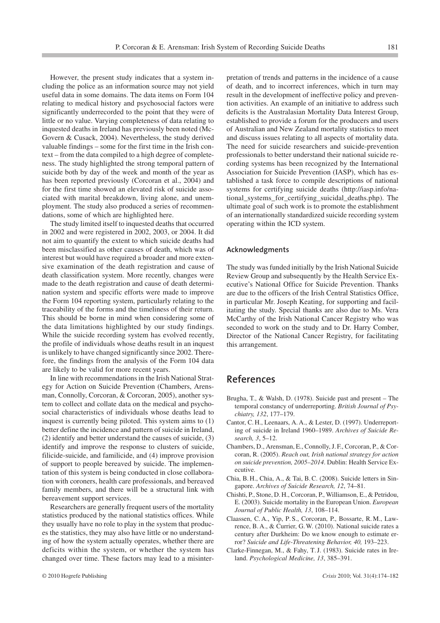However, the present study indicates that a system including the police as an information source may not yield useful data in some domains. The data items on Form 104 relating to medical history and psychosocial factors were significantly underrecorded to the point that they were of little or no value. Varying completeness of data relating to inquested deaths in Ireland has previously been noted (Mc-Govern & Cusack, 2004). Nevertheless, the study derived valuable findings – some for the first time in the Irish context – from the data compiled to a high degree of completeness. The study highlighted the strong temporal pattern of suicide both by day of the week and month of the year as has been reported previously (Corcoran et al., 2004) and for the first time showed an elevated risk of suicide associated with marital breakdown, living alone, and unemployment. The study also produced a series of recommendations, some of which are highlighted here.

The study limited itself to inquested deaths that occurred in 2002 and were registered in 2002, 2003, or 2004. It did not aim to quantify the extent to which suicide deaths had been misclassified as other causes of death, which was of interest but would have required a broader and more extensive examination of the death registration and cause of death classification system. More recently, changes were made to the death registration and cause of death determination system and specific efforts were made to improve the Form 104 reporting system, particularly relating to the traceability of the forms and the timeliness of their return. This should be borne in mind when considering some of the data limitations highlighted by our study findings. While the suicide recording system has evolved recently, the profile of individuals whose deaths result in an inquest is unlikely to have changed significantly since 2002. Therefore, the findings from the analysis of the Form 104 data are likely to be valid for more recent years.

In line with recommendations in the Irish National Strategy for Action on Suicide Prevention (Chambers, Arensman, Connolly, Corcoran, & Corcoran, 2005), another system to collect and collate data on the medical and psychosocial characteristics of individuals whose deaths lead to inquest is currently being piloted. This system aims to (1) better define the incidence and pattern of suicide in Ireland, (2) identify and better understand the causes of suicide, (3) identify and improve the response to clusters of suicide, filicide-suicide, and familicide, and (4) improve provision of support to people bereaved by suicide. The implementation of this system is being conducted in close collaboration with coroners, health care professionals, and bereaved family members, and there will be a structural link with bereavement support services.

Researchers are generally frequent users of the mortality statistics produced by the national statistics offices. While they usually have no role to play in the system that produces the statistics, they may also have little or no understanding of how the system actually operates, whether there are deficits within the system, or whether the system has changed over time. These factors may lead to a misinterpretation of trends and patterns in the incidence of a cause of death, and to incorrect inferences, which in turn may result in the development of ineffective policy and prevention activities. An example of an initiative to address such deficits is the Australasian Mortality Data Interest Group, established to provide a forum for the producers and users of Australian and New Zealand mortality statistics to meet and discuss issues relating to all aspects of mortality data. The need for suicide researchers and suicide-prevention professionals to better understand their national suicide recording systems has been recognized by the International Association for Suicide Prevention (IASP), which has established a task force to compile descriptions of national systems for certifying suicide deaths (http://iasp.info/national\_systems\_for\_certifying\_suicidal\_deaths.php). The ultimate goal of such work is to promote the establishment of an internationally standardized suicide recording system operating within the ICD system.

#### **Acknowledgments**

The study was funded initially by the Irish National Suicide Review Group and subsequently by the Health Service Executive's National Office for Suicide Prevention. Thanks are due to the officers of the Irish Central Statistics Office, in particular Mr. Joseph Keating, for supporting and facilitating the study. Special thanks are also due to Ms. Vera McCarthy of the Irish National Cancer Registry who was seconded to work on the study and to Dr. Harry Comber, Director of the National Cancer Registry, for facilitating this arrangement.

# **References**

- Brugha, T., & Walsh, D. (1978). Suicide past and present The temporal constancy of underreporting. *British Journal of Psychiatry, 132*, 177–179.
- Cantor, C. H., Leenaars, A. A., & Lester, D. (1997). Underreporting of suicide in Ireland 1960–1989. *Archives of Suicide Research, 3*, 5–12.
- Chambers, D., Arensman, E., Connolly, J. F., Corcoran, P., & Corcoran, R. (2005). *Reach out, Irish national strategy for action on suicide prevention, 2005–2014*. Dublin: Health Service Executive.
- Chia, B. H., Chia, A., & Tai, B. C. (2008). Suicide letters in Singapore. *Archives of Suicide Research, 12*, 74–81.
- Chishti, P., Stone, D. H., Corcoran, P., Williamson, E., & Petridou, E. (2003). Suicide mortality in the European Union. *European Journal of Public Health, 13*, 108–114.
- Claassen, C. A., Yip, P. S., Corcoran, P., Bossarte, R. M., Lawrence, B. A., & Currier, G. W. (2010). National suicide rates a century after Durkheim: Do we know enough to estimate error? *Suicide and Life-Threatening Behavior, 40,* 193–223.
- Clarke-Finnegan, M., & Fahy, T. J. (1983). Suicide rates in Ireland. *Psychological Medicine, 13*, 385–391.